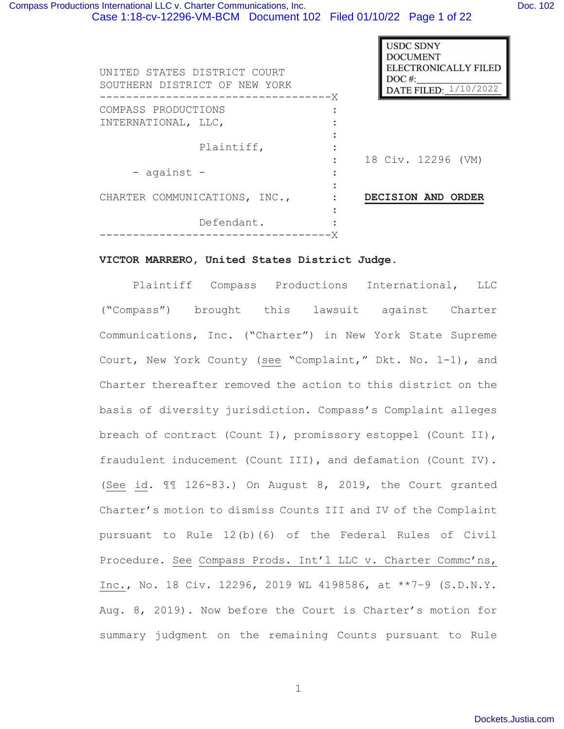| UNITED STATES DISTRICT COURT<br>SOUTHERN DISTRICT OF NEW YORK | <b>USDC SDNY</b><br><b>DOCUMENT</b><br>ELECTRONICALLY FILED<br>$DOC$ #:<br>DATE FILED: 1/10/2022<br>------X |
|---------------------------------------------------------------|-------------------------------------------------------------------------------------------------------------|
| COMPASS PRODUCTIONS                                           |                                                                                                             |
| INTERNATIONAL, LLC,                                           |                                                                                                             |
| Plaintiff,                                                    | 18 Civ. 12296 (VM)                                                                                          |
| - against -                                                   |                                                                                                             |
| CHARTER COMMUNICATIONS, INC.,                                 | DECISION AND ORDER                                                                                          |
| Defendant.                                                    |                                                                                                             |
|                                                               |                                                                                                             |

# **VICTOR MARRERO, United States District Judge.**

Plaintiff Compass Productions International, LLC ("Compass") brought this lawsuit against Charter Communications, Inc. ("Charter") in New York State Supreme Court, New York County (see "Complaint," Dkt. No. 1-1), and Charter thereafter removed the action to this district on the basis of diversity jurisdiction. Compass's Complaint alleges breach of contract (Count I), promissory estoppel (Count II), fraudulent inducement (Count III), and defamation (Count IV). (See id. ¶¶ 126-83.) On August 8, 2019, the Court granted Charter's motion to dismiss Counts III and IV of the Complaint pursuant to Rule 12(b)(6) of the Federal Rules of Civil Procedure. See Compass Prods. Int'l LLC v. Charter Commc'ns, Inc., No. 18 Civ. 12296, 2019 WL 4198586, at \*\*7–9 (S.D.N.Y. Aug. 8, 2019). Now before the Court is Charter's motion for summary judgment on the remaining Counts pursuant to Rule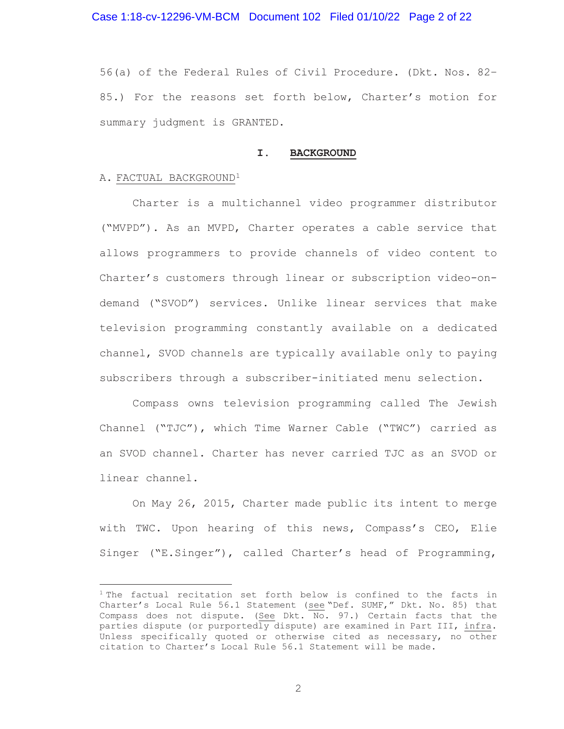Case 1:18-cv-12296-VM-BCM Document 102 Filed 01/10/22 Page 2 of 22

56(a) of the Federal Rules of Civil Procedure. (Dkt. Nos. 82– 85.) For the reasons set forth below, Charter's motion for summary judgment is GRANTED.

#### **I. BACKGROUND**

#### A. FACTUAL BACKGROUND<sup>1</sup>

Charter is a multichannel video programmer distributor ("MVPD"). As an MVPD, Charter operates a cable service that allows programmers to provide channels of video content to Charter's customers through linear or subscription video-ondemand ("SVOD") services. Unlike linear services that make television programming constantly available on a dedicated channel, SVOD channels are typically available only to paying subscribers through a subscriber-initiated menu selection.

Compass owns television programming called The Jewish Channel ("TJC"), which Time Warner Cable ("TWC") carried as an SVOD channel. Charter has never carried TJC as an SVOD or linear channel.

On May 26, 2015, Charter made public its intent to merge with TWC. Upon hearing of this news, Compass's CEO, Elie Singer ("E.Singer"), called Charter's head of Programming,

<sup>&</sup>lt;sup>1</sup> The factual recitation set forth below is confined to the facts in Charter's Local Rule 56.1 Statement (see "Def. SUMF," Dkt. No. 85) that Compass does not dispute. (See Dkt.  $\overline{\mathrm{No}}$ . 97.) Certain facts that the parties dispute (or purportedly dispute) are examined in Part III, infra. Unless specifically quoted or otherwise cited as necessary, no other citation to Charter's Local Rule 56.1 Statement will be made.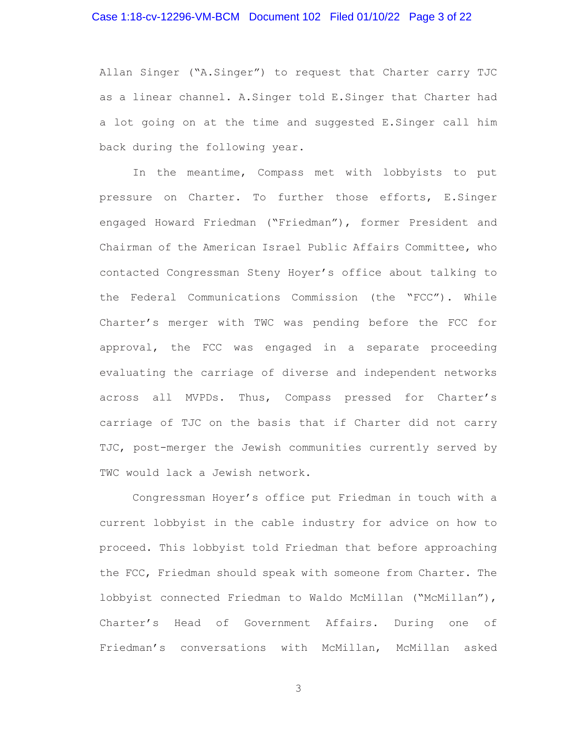# Case 1:18-cv-12296-VM-BCM Document 102 Filed 01/10/22 Page 3 of 22

Allan Singer ("A.Singer") to request that Charter carry TJC as a linear channel. A.Singer told E.Singer that Charter had a lot going on at the time and suggested E.Singer call him back during the following year.

In the meantime, Compass met with lobbyists to put pressure on Charter. To further those efforts, E.Singer engaged Howard Friedman ("Friedman"), former President and Chairman of the American Israel Public Affairs Committee, who contacted Congressman Steny Hoyer's office about talking to the Federal Communications Commission (the "FCC"). While Charter's merger with TWC was pending before the FCC for approval, the FCC was engaged in a separate proceeding evaluating the carriage of diverse and independent networks across all MVPDs. Thus, Compass pressed for Charter's carriage of TJC on the basis that if Charter did not carry TJC, post-merger the Jewish communities currently served by TWC would lack a Jewish network.

Congressman Hoyer's office put Friedman in touch with a current lobbyist in the cable industry for advice on how to proceed. This lobbyist told Friedman that before approaching the FCC, Friedman should speak with someone from Charter. The lobbyist connected Friedman to Waldo McMillan ("McMillan"), Charter's Head of Government Affairs. During one of Friedman's conversations with McMillan, McMillan asked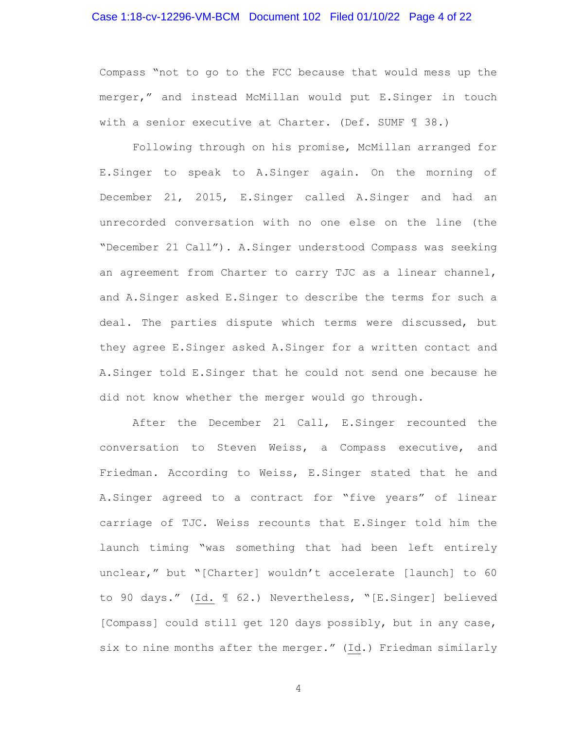# Case 1:18-cv-12296-VM-BCM Document 102 Filed 01/10/22 Page 4 of 22

Compass "not to go to the FCC because that would mess up the merger," and instead McMillan would put E.Singer in touch with a senior executive at Charter. (Def. SUMF 1 38.)

Following through on his promise, McMillan arranged for E.Singer to speak to A.Singer again. On the morning of December 21, 2015, E.Singer called A.Singer and had an unrecorded conversation with no one else on the line (the "December 21 Call"). A.Singer understood Compass was seeking an agreement from Charter to carry TJC as a linear channel, and A.Singer asked E.Singer to describe the terms for such a deal. The parties dispute which terms were discussed, but they agree E.Singer asked A.Singer for a written contact and A.Singer told E.Singer that he could not send one because he did not know whether the merger would go through.

After the December 21 Call, E.Singer recounted the conversation to Steven Weiss, a Compass executive, and Friedman. According to Weiss, E.Singer stated that he and A.Singer agreed to a contract for "five years" of linear carriage of TJC. Weiss recounts that E.Singer told him the launch timing "was something that had been left entirely unclear," but "[Charter] wouldn't accelerate [launch] to 60 to 90 days." (Id. ¶ 62.) Nevertheless, "[E.Singer] believed [Compass] could still get 120 days possibly, but in any case, six to nine months after the merger." (Id.) Friedman similarly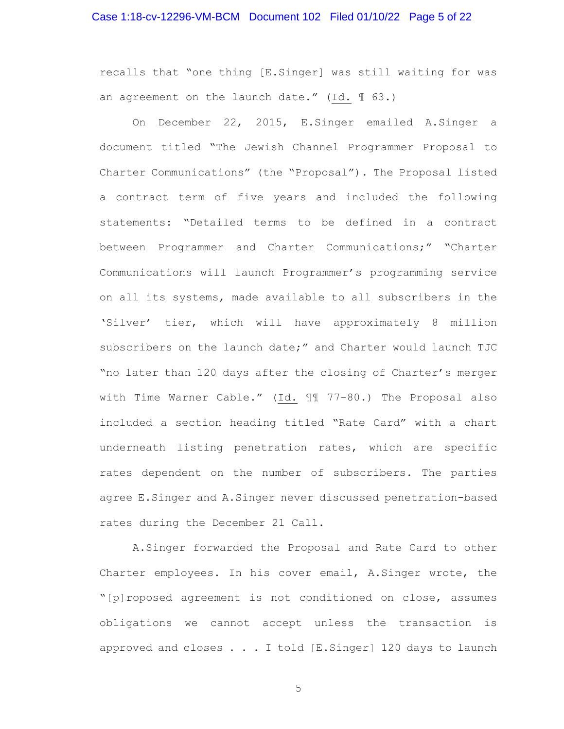# Case 1:18-cv-12296-VM-BCM Document 102 Filed 01/10/22 Page 5 of 22

recalls that "one thing [E.Singer] was still waiting for was an agreement on the launch date." (Id. ¶ 63.)

On December 22, 2015, E.Singer emailed A.Singer a document titled "The Jewish Channel Programmer Proposal to Charter Communications" (the "Proposal"). The Proposal listed a contract term of five years and included the following statements: "Detailed terms to be defined in a contract between Programmer and Charter Communications;" "Charter Communications will launch Programmer's programming service on all its systems, made available to all subscribers in the 'Silver' tier, which will have approximately 8 million subscribers on the launch date;" and Charter would launch TJC "no later than 120 days after the closing of Charter's merger with Time Warner Cable." (Id. ¶¶ 77–80.) The Proposal also included a section heading titled "Rate Card" with a chart underneath listing penetration rates, which are specific rates dependent on the number of subscribers. The parties agree E.Singer and A.Singer never discussed penetration-based rates during the December 21 Call.

A.Singer forwarded the Proposal and Rate Card to other Charter employees. In his cover email, A.Singer wrote, the "[p]roposed agreement is not conditioned on close, assumes obligations we cannot accept unless the transaction is approved and closes . . . I told [E.Singer] 120 days to launch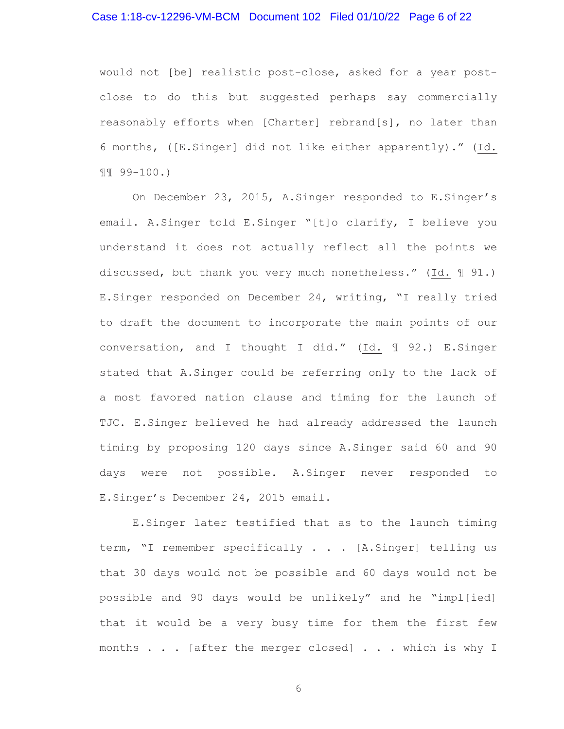# Case 1:18-cv-12296-VM-BCM Document 102 Filed 01/10/22 Page 6 of 22

would not [be] realistic post-close, asked for a year postclose to do this but suggested perhaps say commercially reasonably efforts when [Charter] rebrand[s], no later than 6 months, ([E.Singer] did not like either apparently)." (Id. ¶¶ 99-100.)

On December 23, 2015, A.Singer responded to E.Singer's email. A.Singer told E.Singer "[t]o clarify, I believe you understand it does not actually reflect all the points we discussed, but thank you very much nonetheless." (Id. ¶ 91.) E.Singer responded on December 24, writing, "I really tried to draft the document to incorporate the main points of our conversation, and I thought I did." (Id. ¶ 92.) E.Singer stated that A.Singer could be referring only to the lack of a most favored nation clause and timing for the launch of TJC. E.Singer believed he had already addressed the launch timing by proposing 120 days since A.Singer said 60 and 90 days were not possible. A.Singer never responded to E.Singer's December 24, 2015 email.

E.Singer later testified that as to the launch timing term, "I remember specifically . . . [A.Singer] telling us that 30 days would not be possible and 60 days would not be possible and 90 days would be unlikely" and he "impl[ied] that it would be a very busy time for them the first few months . . . [after the merger closed] . . . which is why I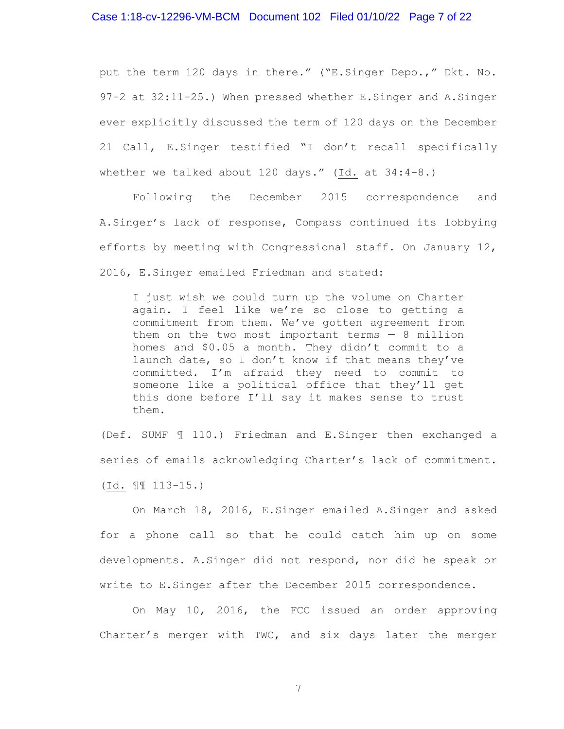# Case 1:18-cv-12296-VM-BCM Document 102 Filed 01/10/22 Page 7 of 22

put the term 120 days in there." ("E.Singer Depo.," Dkt. No. 97-2 at 32:11-25.) When pressed whether E.Singer and A.Singer ever explicitly discussed the term of 120 days on the December 21 Call, E.Singer testified "I don't recall specifically whether we talked about 120 days." (Id. at 34:4-8.)

Following the December 2015 correspondence and A.Singer's lack of response, Compass continued its lobbying efforts by meeting with Congressional staff. On January 12, 2016, E.Singer emailed Friedman and stated:

I just wish we could turn up the volume on Charter again. I feel like we're so close to getting a commitment from them. We've gotten agreement from them on the two most important terms  $-8$  million homes and \$0.05 a month. They didn't commit to a launch date, so I don't know if that means they've committed. I'm afraid they need to commit to someone like a political office that they'll get this done before I'll say it makes sense to trust them.

(Def. SUMF ¶ 110.) Friedman and E.Singer then exchanged a series of emails acknowledging Charter's lack of commitment. (Id. ¶¶ 113-15.)

On March 18, 2016, E.Singer emailed A.Singer and asked for a phone call so that he could catch him up on some developments. A.Singer did not respond, nor did he speak or write to E.Singer after the December 2015 correspondence.

On May 10, 2016, the FCC issued an order approving Charter's merger with TWC, and six days later the merger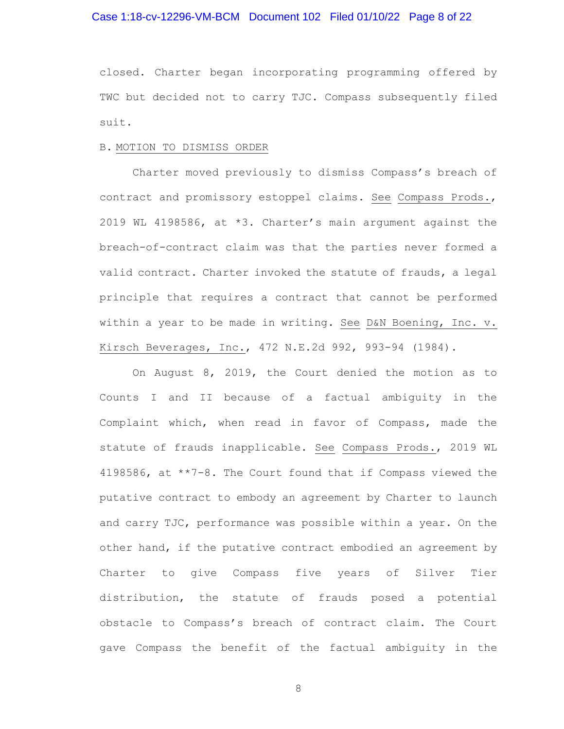# Case 1:18-cv-12296-VM-BCM Document 102 Filed 01/10/22 Page 8 of 22

closed. Charter began incorporating programming offered by TWC but decided not to carry TJC. Compass subsequently filed suit.

### B. MOTION TO DISMISS ORDER

Charter moved previously to dismiss Compass's breach of contract and promissory estoppel claims. See Compass Prods., 2019 WL 4198586, at \*3. Charter's main argument against the breach-of-contract claim was that the parties never formed a valid contract. Charter invoked the statute of frauds, a legal principle that requires a contract that cannot be performed within a year to be made in writing. See D&N Boening, Inc. v. Kirsch Beverages, Inc., 472 N.E.2d 992, 993-94 (1984).

On August 8, 2019, the Court denied the motion as to Counts I and II because of a factual ambiguity in the Complaint which, when read in favor of Compass, made the statute of frauds inapplicable. See Compass Prods., 2019 WL 4198586, at \*\*7-8. The Court found that if Compass viewed the putative contract to embody an agreement by Charter to launch and carry TJC, performance was possible within a year. On the other hand, if the putative contract embodied an agreement by Charter to give Compass five years of Silver Tier distribution, the statute of frauds posed a potential obstacle to Compass's breach of contract claim. The Court gave Compass the benefit of the factual ambiguity in the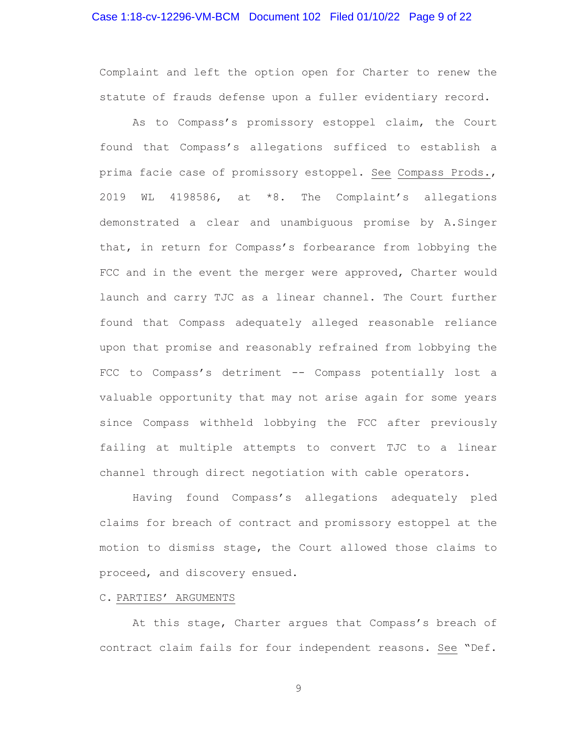# Case 1:18-cv-12296-VM-BCM Document 102 Filed 01/10/22 Page 9 of 22

Complaint and left the option open for Charter to renew the statute of frauds defense upon a fuller evidentiary record.

As to Compass's promissory estoppel claim, the Court found that Compass's allegations sufficed to establish a prima facie case of promissory estoppel. See Compass Prods., 2019 WL 4198586, at \*8. The Complaint's allegations demonstrated a clear and unambiguous promise by A.Singer that, in return for Compass's forbearance from lobbying the FCC and in the event the merger were approved, Charter would launch and carry TJC as a linear channel. The Court further found that Compass adequately alleged reasonable reliance upon that promise and reasonably refrained from lobbying the FCC to Compass's detriment -- Compass potentially lost a valuable opportunity that may not arise again for some years since Compass withheld lobbying the FCC after previously failing at multiple attempts to convert TJC to a linear channel through direct negotiation with cable operators.

Having found Compass's allegations adequately pled claims for breach of contract and promissory estoppel at the motion to dismiss stage, the Court allowed those claims to proceed, and discovery ensued.

# C. PARTIES' ARGUMENTS

At this stage, Charter argues that Compass's breach of contract claim fails for four independent reasons. See "Def.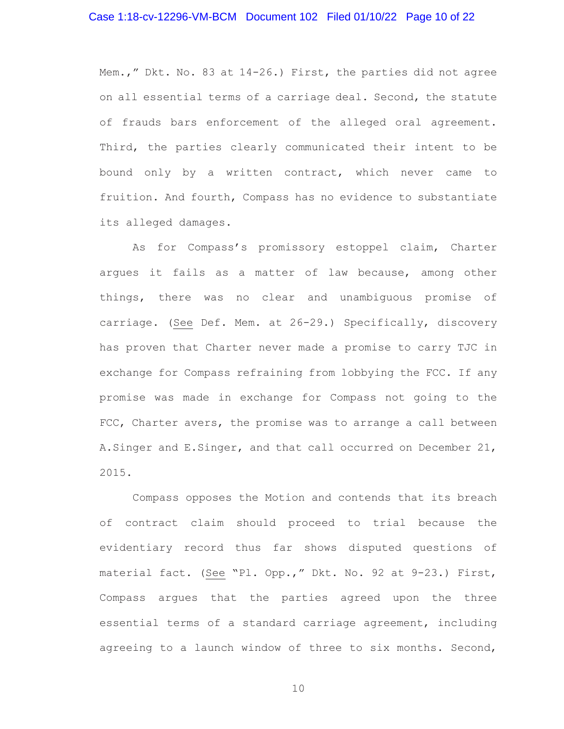# Case 1:18-cv-12296-VM-BCM Document 102 Filed 01/10/22 Page 10 of 22

Mem.," Dkt. No. 83 at 14-26.) First, the parties did not agree on all essential terms of a carriage deal. Second, the statute of frauds bars enforcement of the alleged oral agreement. Third, the parties clearly communicated their intent to be bound only by a written contract, which never came to fruition. And fourth, Compass has no evidence to substantiate its alleged damages.

As for Compass's promissory estoppel claim, Charter argues it fails as a matter of law because, among other things, there was no clear and unambiguous promise of carriage. (See Def. Mem. at 26-29.) Specifically, discovery has proven that Charter never made a promise to carry TJC in exchange for Compass refraining from lobbying the FCC. If any promise was made in exchange for Compass not going to the FCC, Charter avers, the promise was to arrange a call between A.Singer and E.Singer, and that call occurred on December 21, 2015.

Compass opposes the Motion and contends that its breach of contract claim should proceed to trial because the evidentiary record thus far shows disputed questions of material fact. (See "Pl. Opp.," Dkt. No. 92 at 9-23.) First, Compass argues that the parties agreed upon the three essential terms of a standard carriage agreement, including agreeing to a launch window of three to six months. Second,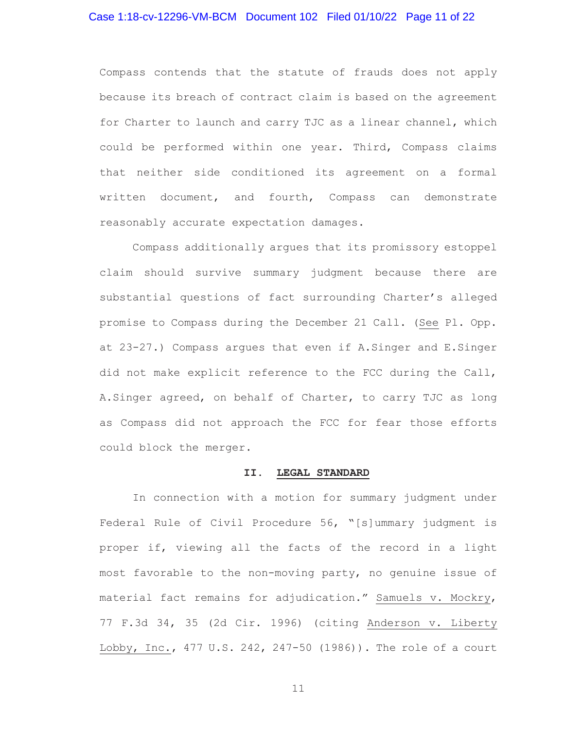# Case 1:18-cv-12296-VM-BCM Document 102 Filed 01/10/22 Page 11 of 22

Compass contends that the statute of frauds does not apply because its breach of contract claim is based on the agreement for Charter to launch and carry TJC as a linear channel, which could be performed within one year. Third, Compass claims that neither side conditioned its agreement on a formal written document, and fourth, Compass can demonstrate reasonably accurate expectation damages.

Compass additionally argues that its promissory estoppel claim should survive summary judgment because there are substantial questions of fact surrounding Charter's alleged promise to Compass during the December 21 Call. (See Pl. Opp. at 23-27.) Compass argues that even if A.Singer and E.Singer did not make explicit reference to the FCC during the Call, A.Singer agreed, on behalf of Charter, to carry TJC as long as Compass did not approach the FCC for fear those efforts could block the merger.

# **II. LEGAL STANDARD**

In connection with a motion for summary judgment under Federal Rule of Civil Procedure 56, "[s]ummary judgment is proper if, viewing all the facts of the record in a light most favorable to the non-moving party, no genuine issue of material fact remains for adjudication." Samuels v. Mockry, 77 F.3d 34, 35 (2d Cir. 1996) (citing Anderson v. Liberty Lobby, Inc., 477 U.S. 242, 247-50 (1986)). The role of a court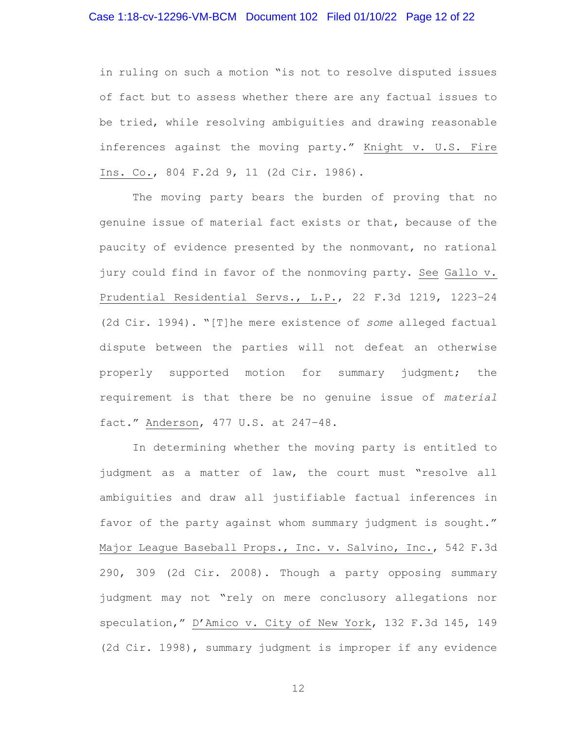# Case 1:18-cv-12296-VM-BCM Document 102 Filed 01/10/22 Page 12 of 22

in ruling on such a motion "is not to resolve disputed issues of fact but to assess whether there are any factual issues to be tried, while resolving ambiguities and drawing reasonable inferences against the moving party." Knight v. U.S. Fire Ins. Co., 804 F.2d 9, 11 (2d Cir. 1986).

The moving party bears the burden of proving that no genuine issue of material fact exists or that, because of the paucity of evidence presented by the nonmovant, no rational jury could find in favor of the nonmoving party. See Gallo v. Prudential Residential Servs., L.P., 22 F.3d 1219, 1223–24 (2d Cir. 1994). "[T]he mere existence of *some* alleged factual dispute between the parties will not defeat an otherwise properly supported motion for summary judgment; the requirement is that there be no genuine issue of *material* fact." Anderson, 477 U.S. at 247–48.

In determining whether the moving party is entitled to judgment as a matter of law, the court must "resolve all ambiguities and draw all justifiable factual inferences in favor of the party against whom summary judgment is sought." Major League Baseball Props., Inc. v. Salvino, Inc., 542 F.3d 290, 309 (2d Cir. 2008). Though a party opposing summary judgment may not "rely on mere conclusory allegations nor speculation," D'Amico v. City of New York, 132 F.3d 145, 149 (2d Cir. 1998), summary judgment is improper if any evidence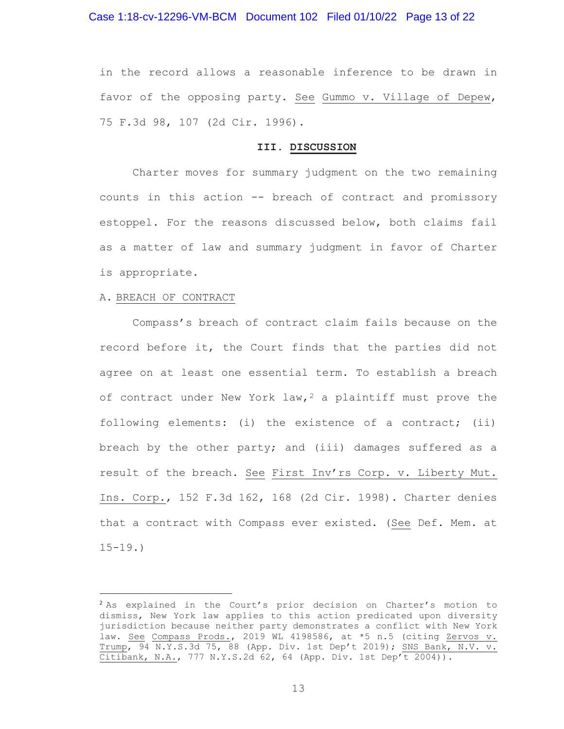in the record allows a reasonable inference to be drawn in favor of the opposing party. See Gummo v. Village of Depew, 75 F.3d 98, 107 (2d Cir. 1996).

### **III. DISCUSSION**

Charter moves for summary judgment on the two remaining counts in this action -- breach of contract and promissory estoppel. For the reasons discussed below, both claims fail as a matter of law and summary judgment in favor of Charter is appropriate.

#### A. BREACH OF CONTRACT

Compass's breach of contract claim fails because on the record before it, the Court finds that the parties did not agree on at least one essential term. To establish a breach of contract under New York law,  $2a$  plaintiff must prove the following elements: (i) the existence of a contract; (ii) breach by the other party; and (iii) damages suffered as a result of the breach. See First Inv'rs Corp. v. Liberty Mut. Ins. Corp., 152 F.3d 162, 168 (2d Cir. 1998). Charter denies that a contract with Compass ever existed. (See Def. Mem. at  $15 - 19.$ 

<sup>&</sup>lt;sup>2</sup> As explained in the Court's prior decision on Charter's motion to dismiss, New York law applies to this action predicated upon diversity jurisdiction because neither party demonstrates a conflict with New York law. <u>See Compass Prods.</u>, 2019 WL 4198586, at \*5 n.5 (citing Zervos v. Trump, 94 N.Y.S.3d 75, 88 (App. Div. 1st Dep't 2019); SNS Bank, N.V. v. Citibank, N.A., 777 N.Y.S.2d 62, 64 (App. Div. 1st Dep't 2004)).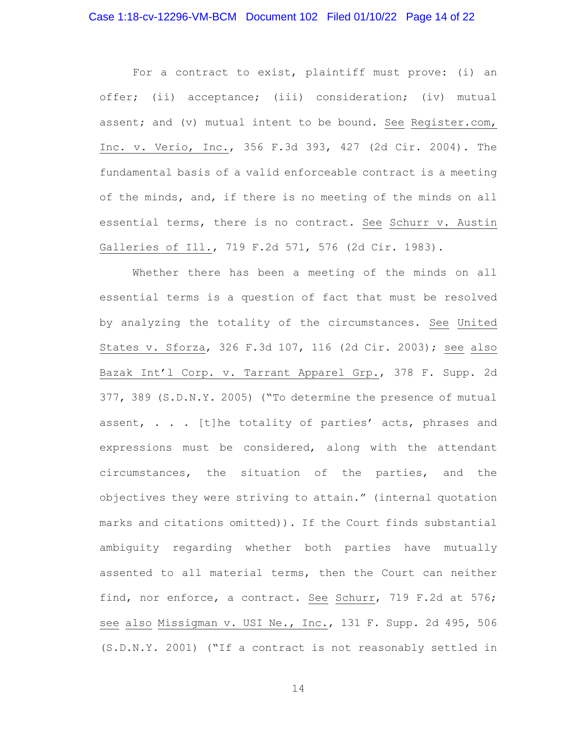For a contract to exist, plaintiff must prove: (i) an offer; (ii) acceptance; (iii) consideration; (iv) mutual assent; and (v) mutual intent to be bound. See Register.com, Inc. v. Verio, Inc., 356 F.3d 393, 427 (2d Cir. 2004). The fundamental basis of a valid enforceable contract is a meeting of the minds, and, if there is no meeting of the minds on all essential terms, there is no contract. See Schurr v. Austin Galleries of Ill., 719 F.2d 571, 576 (2d Cir. 1983).

Whether there has been a meeting of the minds on all essential terms is a question of fact that must be resolved by analyzing the totality of the circumstances. See United States v. Sforza, 326 F.3d 107, 116 (2d Cir. 2003); see also Bazak Int'l Corp. v. Tarrant Apparel Grp., 378 F. Supp. 2d 377, 389 (S.D.N.Y. 2005) ("To determine the presence of mutual assent, . . . [t]he totality of parties' acts, phrases and expressions must be considered, along with the attendant circumstances, the situation of the parties, and the objectives they were striving to attain." (internal quotation marks and citations omitted)). If the Court finds substantial ambiguity regarding whether both parties have mutually assented to all material terms, then the Court can neither find, nor enforce, a contract. See Schurr, 719 F.2d at 576; see also Missigman v. USI Ne., Inc., 131 F. Supp. 2d 495, 506 (S.D.N.Y. 2001) ("If a contract is not reasonably settled in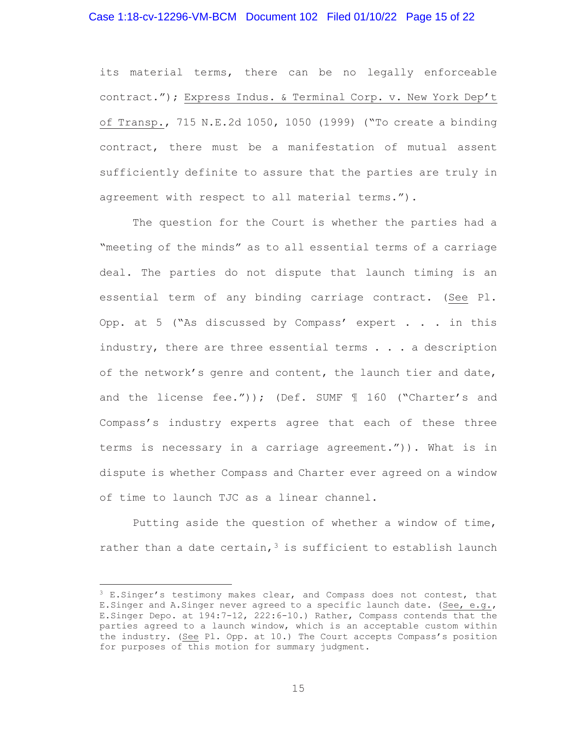# Case 1:18-cv-12296-VM-BCM Document 102 Filed 01/10/22 Page 15 of 22

its material terms, there can be no legally enforceable contract."); Express Indus. & Terminal Corp. v. New York Dep't of Transp., 715 N.E.2d 1050, 1050 (1999) ("To create a binding contract, there must be a manifestation of mutual assent sufficiently definite to assure that the parties are truly in agreement with respect to all material terms.").

The question for the Court is whether the parties had a "meeting of the minds" as to all essential terms of a carriage deal. The parties do not dispute that launch timing is an essential term of any binding carriage contract. (See Pl. Opp. at 5 ("As discussed by Compass' expert  $\ldots$  in this industry, there are three essential terms  $\ldots$  a description of the network's genre and content, the launch tier and date, and the license fee.")); (Def. SUMF  $\text{\textsterling}$  160 ("Charter's and Compass's industry experts agree that each of these three terms is necessary in a carriage agreement.")). What is in dispute is whether Compass and Charter ever agreed on a window of time to launch TJC as a linear channel.

Putting aside the question of whether a window of time, rather than a date certain,  $3$  is sufficient to establish launch

 $3$  E.Singer's testimony makes clear, and Compass does not contest, that E.Singer and A.Singer never agreed to a specific launch date. (See, e.g., E.Singer Depo. at 194:7-12, 222:6-10.) Rather, Compass contends that the parties agreed to a launch window, which is an acceptable custom within the industry. (See Pl. Opp. at 10.) The Court accepts Compass's position for purposes of this motion for summary judgment.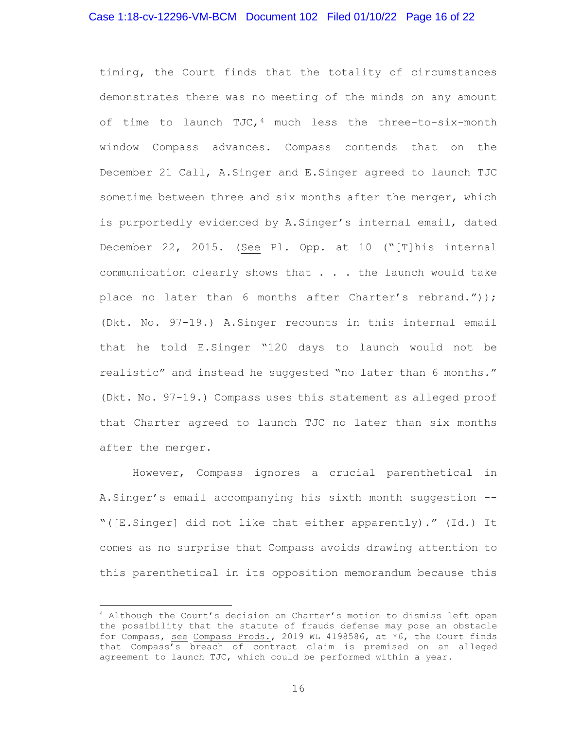## Case 1:18-cv-12296-VM-BCM Document 102 Filed 01/10/22 Page 16 of 22

timing, the Court finds that the totality of circumstances demonstrates there was no meeting of the minds on any amount of time to launch TJC,  $4$  much less the three-to-six-month window Compass advances. Compass contends that on the December 21 Call, A.Singer and E.Singer agreed to launch TJC sometime between three and six months after the merger, which is purportedly evidenced by A.Singer's internal email, dated December 22, 2015. (See Pl. Opp. at 10 ("[T]his internal communication clearly shows that . . . the launch would take place no later than 6 months after Charter's rebrand.")); (Dkt. No. 97-19.) A.Singer recounts in this internal email that he told E.Singer "120 days to launch would not be realistic" and instead he suggested "no later than 6 months." (Dkt. No. 97-19.) Compass uses this statement as alleged proof that Charter agreed to launch TJC no later than six months after the merger.

However, Compass ignores a crucial parenthetical in A.Singer's email accompanying his sixth month suggestion -- "([E.Singer] did not like that either apparently)." (Id.) It comes as no surprise that Compass avoids drawing attention to this parenthetical in its opposition memorandum because this

<sup>4</sup> Although the Court's decision on Charter's motion to dismiss left open the possibility that the statute of frauds defense may pose an obstacle for Compass, see Compass Prods., 2019 WL 4198586, at \*6, the Court finds that Compass's breach of contract claim is premised on an alleged agreement to launch TJC, which could be performed within a year.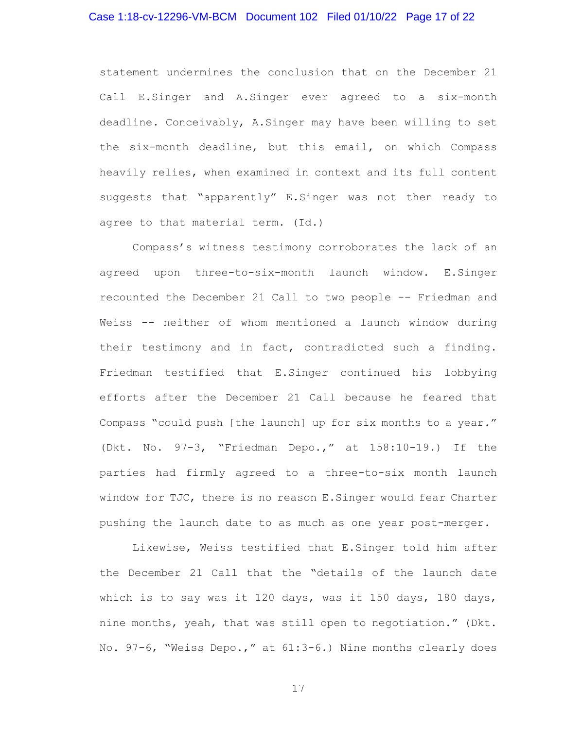# Case 1:18-cv-12296-VM-BCM Document 102 Filed 01/10/22 Page 17 of 22

statement undermines the conclusion that on the December 21 Call E.Singer and A.Singer ever agreed to a six-month deadline. Conceivably, A.Singer may have been willing to set the six-month deadline, but this email, on which Compass heavily relies, when examined in context and its full content suggests that "apparently" E.Singer was not then ready to agree to that material term. (Id.)

Compass's witness testimony corroborates the lack of an agreed upon three-to-six-month launch window. E.Singer recounted the December 21 Call to two people -- Friedman and Weiss -- neither of whom mentioned a launch window during their testimony and in fact, contradicted such a finding. Friedman testified that E.Singer continued his lobbying efforts after the December 21 Call because he feared that Compass "could push [the launch] up for six months to a year." (Dkt. No. 97-3, "Friedman Depo.," at 158:10-19.) If the parties had firmly agreed to a three-to-six month launch window for TJC, there is no reason E.Singer would fear Charter pushing the launch date to as much as one year post-merger.

Likewise, Weiss testified that E.Singer told him after the December 21 Call that the "details of the launch date which is to say was it 120 days, was it 150 days, 180 days, nine months, yeah, that was still open to negotiation." (Dkt. No. 97-6, "Weiss Depo.," at 61:3-6.) Nine months clearly does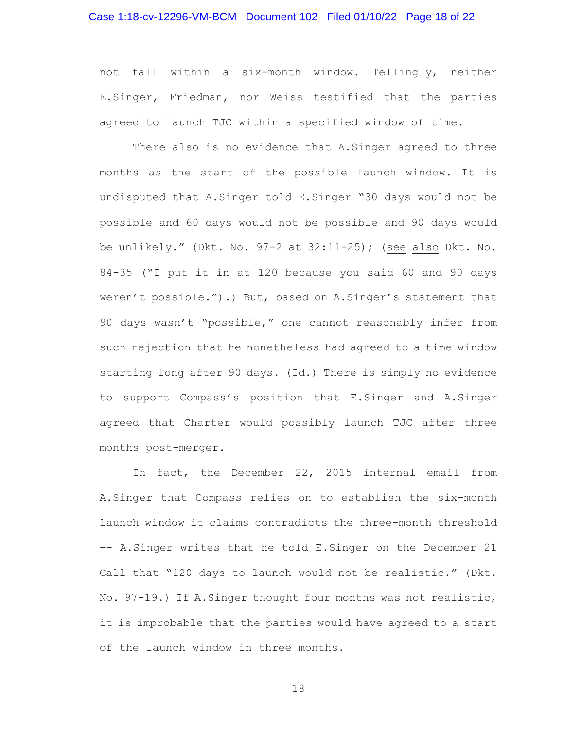# Case 1:18-cv-12296-VM-BCM Document 102 Filed 01/10/22 Page 18 of 22

not fall within a six-month window. Tellingly, neither E.Singer, Friedman, nor Weiss testified that the parties agreed to launch TJC within a specified window of time.

There also is no evidence that A. Singer agreed to three months as the start of the possible launch window. It is undisputed that A.Singer told E.Singer "30 days would not be possible and 60 days would not be possible and 90 days would be unlikely." (Dkt. No. 97-2 at 32:11-25); (see also Dkt. No. 84-35 ("I put it in at 120 because you said 60 and 90 days weren't possible.").) But, based on A.Singer's statement that 90 days wasn't "possible," one cannot reasonably infer from such rejection that he nonetheless had agreed to a time window starting long after 90 days. (Id.) There is simply no evidence to support Compass's position that E.Singer and A.Singer agreed that Charter would possibly launch TJC after three months post-merger.

In fact, the December 22, 2015 internal email from A.Singer that Compass relies on to establish the six-month launch window it claims contradicts the three-month threshold –- A.Singer writes that he told E.Singer on the December 21 Call that "120 days to launch would not be realistic." (Dkt. No. 97-19.) If A.Singer thought four months was not realistic, it is improbable that the parties would have agreed to a start of the launch window in three months.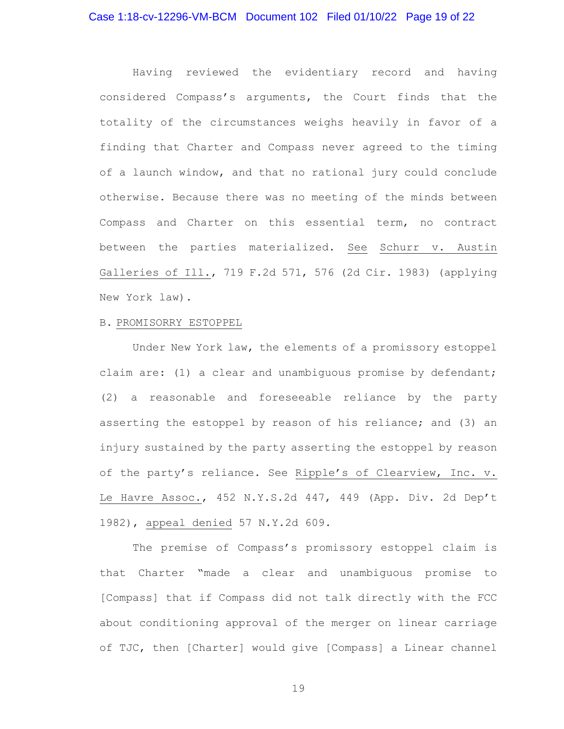# Case 1:18-cv-12296-VM-BCM Document 102 Filed 01/10/22 Page 19 of 22

Having reviewed the evidentiary record and having considered Compass's arguments, the Court finds that the totality of the circumstances weighs heavily in favor of a finding that Charter and Compass never agreed to the timing of a launch window, and that no rational jury could conclude otherwise. Because there was no meeting of the minds between Compass and Charter on this essential term, no contract between the parties materialized. See Schurr v. Austin Galleries of Ill., 719 F.2d 571, 576 (2d Cir. 1983) (applying New York law).

#### B. PROMISORRY ESTOPPEL

Under New York law, the elements of a promissory estoppel claim are: (1) a clear and unambiguous promise by defendant; (2) a reasonable and foreseeable reliance by the party asserting the estoppel by reason of his reliance; and (3) an injury sustained by the party asserting the estoppel by reason of the party's reliance. See Ripple's of Clearview, Inc. v. Le Havre Assoc., 452 N.Y.S.2d 447, 449 (App. Div. 2d Dep't 1982), appeal denied 57 N.Y.2d 609.

The premise of Compass's promissory estoppel claim is that Charter "made a clear and unambiguous promise to [Compass] that if Compass did not talk directly with the FCC about conditioning approval of the merger on linear carriage of TJC, then [Charter] would give [Compass] a Linear channel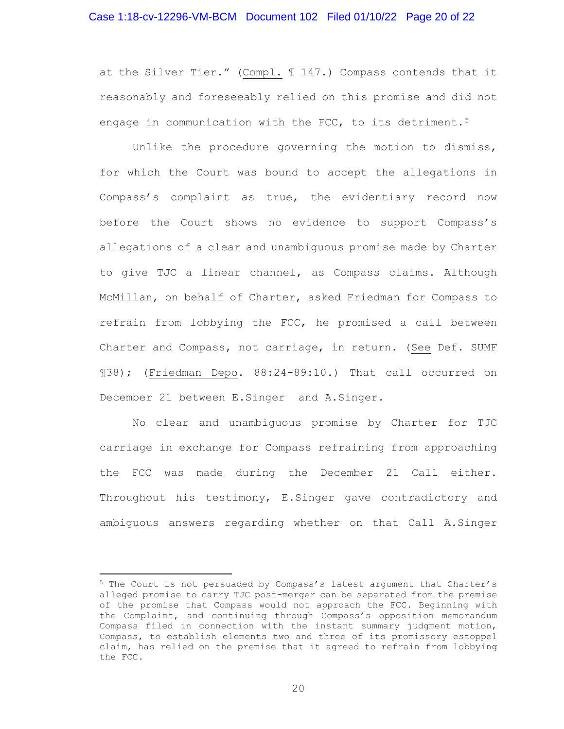# Case 1:18-cv-12296-VM-BCM Document 102 Filed 01/10/22 Page 20 of 22

at the Silver Tier." (Compl. ¶ 147.) Compass contends that it reasonably and foreseeably relied on this promise and did not engage in communication with the FCC, to its detriment.<sup>5</sup>

Unlike the procedure governing the motion to dismiss, for which the Court was bound to accept the allegations in Compass's complaint as true, the evidentiary record now before the Court shows no evidence to support Compass's allegations of a clear and unambiguous promise made by Charter to give TJC a linear channel, as Compass claims. Although McMillan, on behalf of Charter, asked Friedman for Compass to refrain from lobbying the FCC, he promised a call between Charter and Compass, not carriage, in return. (See Def. SUMF ¶38); (Friedman Depo. 88:24-89:10.) That call occurred on December 21 between E.Singer and A.Singer.

No clear and unambiguous promise by Charter for TJC carriage in exchange for Compass refraining from approaching the FCC was made during the December 21 Call either. Throughout his testimony, E.Singer gave contradictory and ambiguous answers regarding whether on that Call A.Singer

<sup>5</sup> The Court is not persuaded by Compass's latest argument that Charter's alleged promise to carry TJC post-merger can be separated from the premise of the promise that Compass would not approach the FCC. Beginning with the Complaint, and continuing through Compass's opposition memorandum Compass filed in connection with the instant summary judgment motion, Compass, to establish elements two and three of its promissory estoppel claim, has relied on the premise that it agreed to refrain from lobbying the FCC.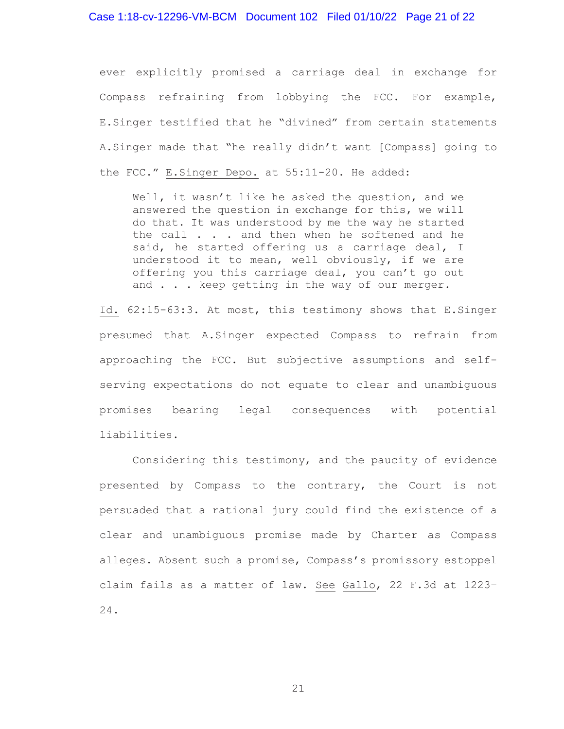# Case 1:18-cv-12296-VM-BCM Document 102 Filed 01/10/22 Page 21 of 22

ever explicitly promised a carriage deal in exchange for Compass refraining from lobbying the FCC. For example, E.Singer testified that he "divined" from certain statements A.Singer made that "he really didn't want [Compass] going to the FCC." E.Singer Depo. at 55:11-20. He added:

Well, it wasn't like he asked the question, and we answered the question in exchange for this, we will do that. It was understood by me the way he started the call . . . and then when he softened and he said, he started offering us a carriage deal, I understood it to mean, well obviously, if we are offering you this carriage deal, you can't go out and . . . keep getting in the way of our merger.

Id. 62:15-63:3. At most, this testimony shows that E.Singer presumed that A.Singer expected Compass to refrain from approaching the FCC. But subjective assumptions and selfserving expectations do not equate to clear and unambiguous promises bearing legal consequences with potential liabilities.

Considering this testimony, and the paucity of evidence presented by Compass to the contrary, the Court is not persuaded that a rational jury could find the existence of a clear and unambiguous promise made by Charter as Compass alleges. Absent such a promise, Compass's promissory estoppel claim fails as a matter of law. See Gallo, 22 F.3d at 1223– 24.